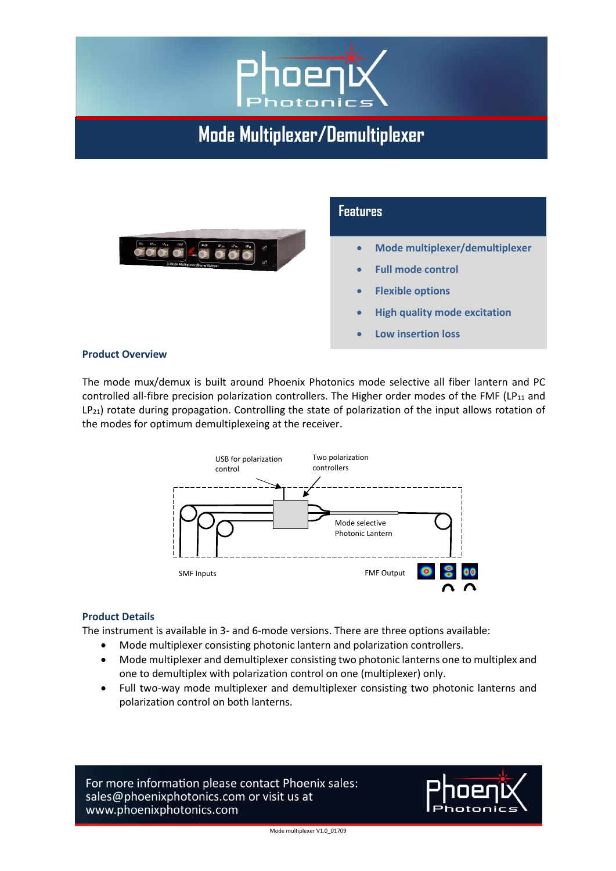

**Mode Multiplexer/Demultiplexer**



#### **Product Overview**

The mode mux/demux is built around Phoenix Photonics mode selective all fiber lantern and PC controlled all-fibre precision polarization controllers. The Higher order modes of the FMF (LP<sub>11</sub> and LP<sub>21</sub>) rotate during propagation. Controlling the state of polarization of the input allows rotation of the modes for optimum demultiplexeing at the receiver.



#### **Product Details**

The instrument is available in 3- and 6-mode versions. There are three options available:

- Mode multiplexer consisting photonic lantern and polarization controllers.
- Mode multiplexer and demultiplexer consisting two photonic lanterns one to multiplex and one to demultiplex with polarization control on one (multiplexer) only.
- Full two-way mode multiplexer and demultiplexer consisting two photonic lanterns and polarization control on both lanterns.

For more information please contact Phoenix sales: sales@phoenixphotonics.com or visit us at www.phoenixphotonics.com